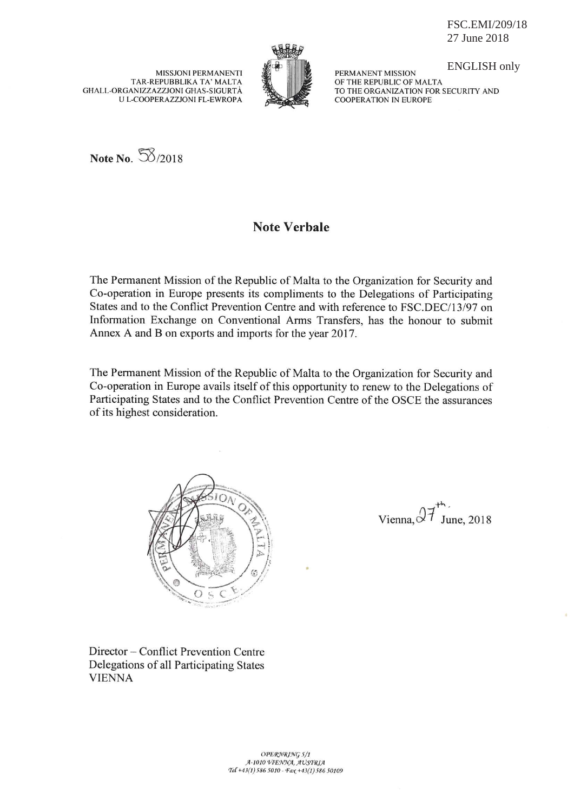FSC.EMI/209/18 27 June 2018

**MISSJONI PERMANENTI** TAR-REPUBBLIKA TA' MALTA GHALL-ORGANIZZAZZJONI GHAS-SIGURTÀ U L-COOPERAZZJONI FL-EWROPA



**ENGLISH only** 

PERMANENT MISSION OF THE REPUBLIC OF MALTA TO THE ORGANIZATION FOR SECURITY AND **COOPERATION IN EUROPE** 

Note No. 58/2018

## **Note Verbale**

The Permanent Mission of the Republic of Malta to the Organization for Security and Co-operation in Europe presents its compliments to the Delegations of Participating States and to the Conflict Prevention Centre and with reference to FSC.DEC/13/97 on Information Exchange on Conventional Arms Transfers, has the honour to submit Annex A and B on exports and imports for the year 2017.

The Permanent Mission of the Republic of Malta to the Organization for Security and Co-operation in Europe avails itself of this opportunity to renew to the Delegations of Participating States and to the Conflict Prevention Centre of the OSCE the assurances of its highest consideration.



Director – Conflict Prevention Centre Delegations of all Participating States **VIENNA** 

Vienna,  $27$ June, 2018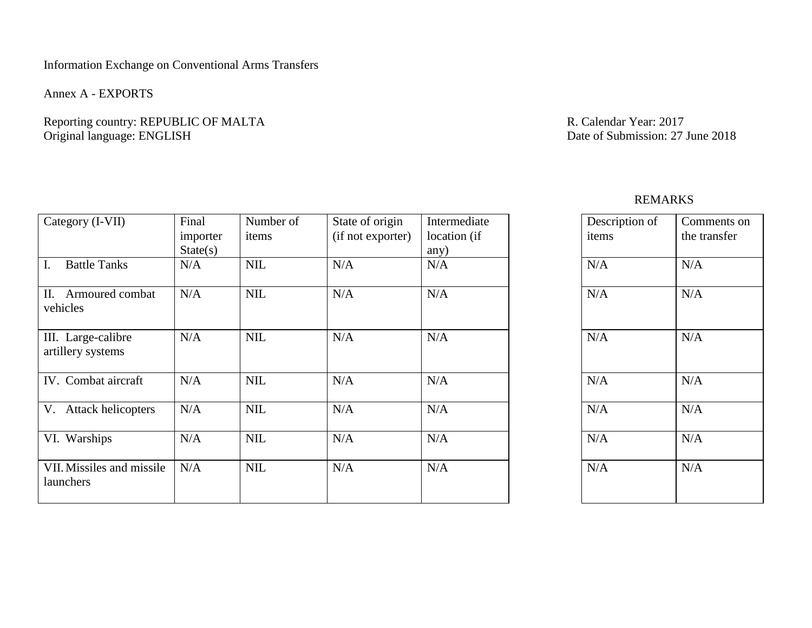### Information Exchange on Conventional Arms Transfers

Annex A - EXPORTS

Reporting country: REPUBLIC OF MALTA R. Calendar Year: 2017<br>  $\alpha$  R. Calendar Year: 2017<br>
Date of Submission: 27 June 2018 Original language: ENGLISH

# REMARKS

| Category (I-VII)                        | Final<br>importer<br>State(s) | Number of<br>items | State of origin<br>(if not exporter) | Intermediate<br>location (if | Description of<br>items | Con<br>the t |
|-----------------------------------------|-------------------------------|--------------------|--------------------------------------|------------------------------|-------------------------|--------------|
| <b>Battle Tanks</b><br>Ι.               | N/A                           | <b>NIL</b>         | N/A                                  | any)<br>N/A                  | N/A                     | N/A          |
| Armoured combat<br>П.<br>vehicles       | N/A                           | <b>NIL</b>         | N/A                                  | N/A                          | N/A                     | N/A          |
| III. Large-calibre<br>artillery systems | N/A                           | <b>NIL</b>         | N/A                                  | N/A                          | N/A                     | N/A          |
| IV. Combat aircraft                     | N/A                           | <b>NIL</b>         | N/A                                  | N/A                          | N/A                     | N/A          |
| V. Attack helicopters                   | N/A                           | <b>NIL</b>         | N/A                                  | N/A                          | N/A                     | N/A          |
| VI. Warships                            | N/A                           | <b>NIL</b>         | N/A                                  | N/A                          | N/A                     | N/A          |
| VII. Missiles and missile<br>launchers  | N/A                           | <b>NIL</b>         | N/A                                  | N/A                          | N/A                     | N/A          |

| Description of | Comments on  |
|----------------|--------------|
| items          | the transfer |
| N/A            | N/A          |
| N/A            | N/A          |
| N/A            | N/A          |
| N/A            | N/A          |
| N/A            | N/A          |
| N/A            | N/A          |
| N/A            | N/A          |